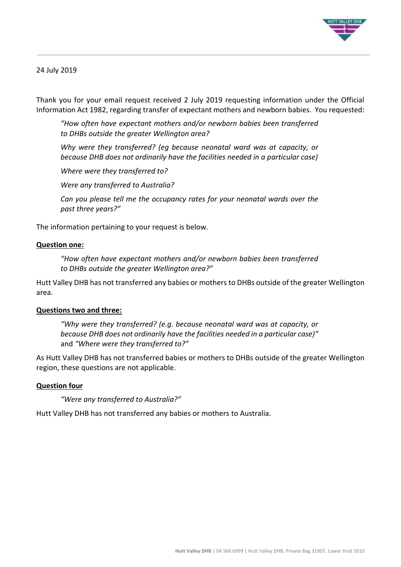

## 24 July 2019

Thank you for your email request received 2 July 2019 requesting information under the Official Information Act 1982, regarding transfer of expectant mothers and newborn babies. You requested:

*"How often have expectant mothers and/or newborn babies been transferred to DHBs outside the greater Wellington area?*

*Why were they transferred? (eg because neonatal ward was at capacity, or because DHB does not ordinarily have the facilities needed in a particular case)*

*Where were they transferred to?*

*Were any transferred to Australia?*

*Can you please tell me the occupancy rates for your neonatal wards over the past three years?"*

The information pertaining to your request is below.

#### **Question one:**

*"How often have expectant mothers and/or newborn babies been transferred to DHBs outside the greater Wellington area?"*

Hutt Valley DHB has not transferred any babies or mothers to DHBs outside of the greater Wellington area.

#### **Questions two and three:**

*"Why were they transferred? (e.g. because neonatal ward was at capacity, or because DHB does not ordinarily have the facilities needed in a particular case)"*  and *"Where were they transferred to?"*

As Hutt Valley DHB has not transferred babies or mothers to DHBs outside of the greater Wellington region, these questions are not applicable.

### **Question four**

*"Were any transferred to Australia?"*

Hutt Valley DHB has not transferred any babies or mothers to Australia.